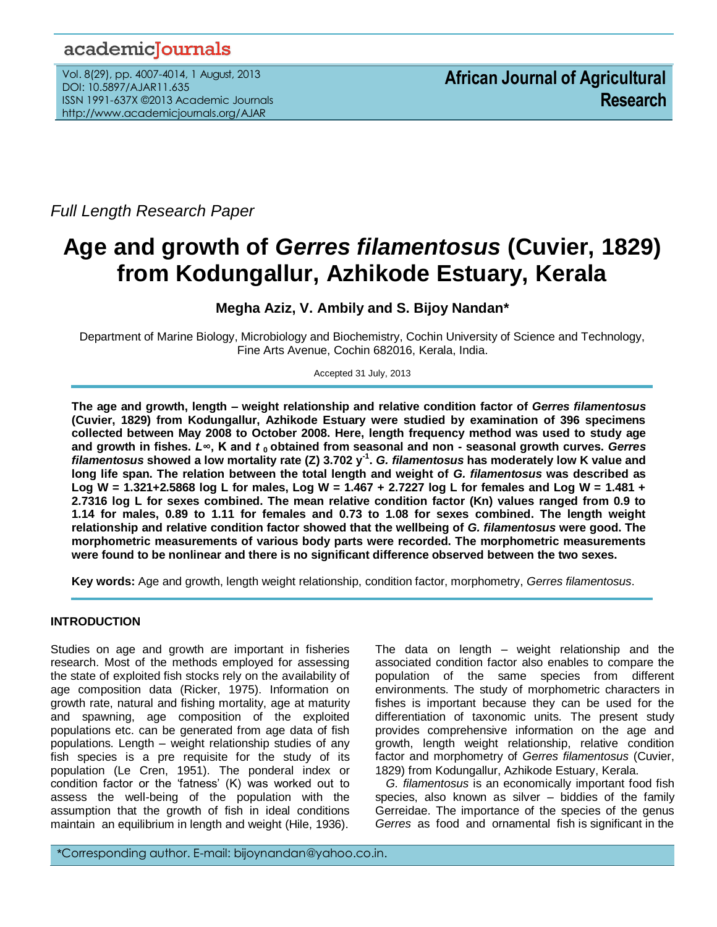# academicJournals

Vol. 8(29), pp. 4007-4014, 1 August, 2013 DOI: 10.5897/AJAR11.635 ISSN 1991-637X ©2013 Academic Journals http://www.academicjournals.org/AJAR

*Full Length Research Paper*

# **Age and growth of** *Gerres filamentosus* **(Cuvier, 1829) from Kodungallur, Azhikode Estuary, Kerala**

**Megha Aziz, V. Ambily and S. Bijoy Nandan\***

Department of Marine Biology, Microbiology and Biochemistry, Cochin University of Science and Technology, Fine Arts Avenue, Cochin 682016, Kerala, India.

Accepted 31 July, 2013

**The age and growth, length – weight relationship and relative condition factor of** *Gerres filamentosus* **(Cuvier, 1829) from Kodungallur, Azhikode Estuary were studied by examination of 396 specimens collected between May 2008 to October 2008. Here, length frequency method was used to study age and growth in fishes.** *L***∞, K and** *t* **0 obtained from seasonal and non - seasonal growth curves.** *Gerres filamentosus* **showed a low mortality rate (Z) 3.702 y-1 .** *G. filamentosus* **has moderately low K value and long life span. The relation between the total length and weight of** *G. filamentosus* **was described as Log W = 1.321+2.5868 log L for males, Log W = 1.467 + 2.7227 log L for females and Log W = 1.481 + 2.7316 log L for sexes combined. The mean relative condition factor (Kn) values ranged from 0.9 to 1.14 for males, 0.89 to 1.11 for females and 0.73 to 1.08 for sexes combined. The length weight relationship and relative condition factor showed that the wellbeing of** *G. filamentosus* **were good. The morphometric measurements of various body parts were recorded. The morphometric measurements were found to be nonlinear and there is no significant difference observed between the two sexes.** 

**Key words:** Age and growth, length weight relationship, condition factor, morphometry, *Gerres filamentosus*.

## **INTRODUCTION**

.*.*

Studies on age and growth are important in fisheries research. Most of the methods employed for assessing the state of exploited fish stocks rely on the availability of age composition data (Ricker, 1975). Information on growth rate, natural and fishing mortality, age at maturity and spawning, age composition of the exploited populations etc. can be generated from age data of fish populations. Length – weight relationship studies of any fish species is a pre requisite for the study of its population (Le Cren, 1951). The ponderal index or condition factor or the 'fatness' (K) was worked out to assess the well-being of the population with the assumption that the growth of fish in ideal conditions maintain an equilibrium in length and weight (Hile, 1936). The data on length – weight relationship and the associated condition factor also enables to compare the population of the same species from different environments. The study of morphometric characters in fishes is important because they can be used for the differentiation of taxonomic units. The present study provides comprehensive information on the age and growth, length weight relationship, relative condition factor and morphometry of *Gerres filamentosus* (Cuvier, 1829) from Kodungallur, Azhikode Estuary, Kerala.

*G. filamentosus* is an economically important food fish species, also known as silver – biddies of the family Gerreidae. The importance of the species of the genus *Gerres* as food and ornamental fish is significant in the

\*Corresponding author. E-mail: bijoynandan@yahoo.co.in.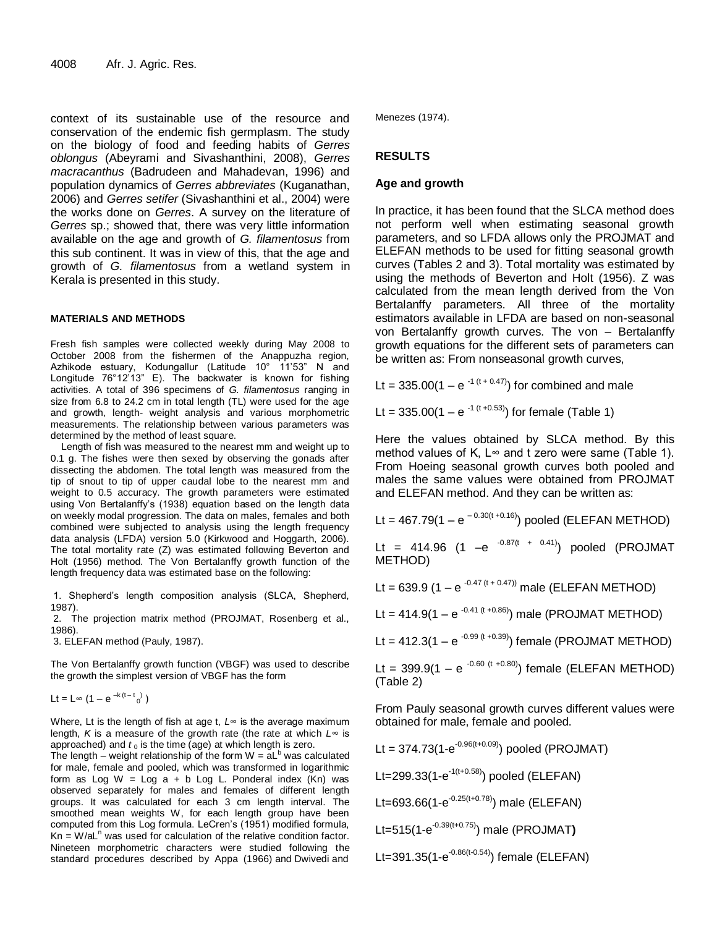context of its sustainable use of the resource and conservation of the endemic fish germplasm. The study on the biology of food and feeding habits of *Gerres oblongus* (Abeyrami and Sivashanthini, 2008), *Gerres macracanthus* (Badrudeen and Mahadevan, 1996) and population dynamics of *Gerres abbreviates* (Kuganathan, 2006) and *Gerres setifer* (Sivashanthini et al., 2004) were the works done on *Gerres*. A survey on the literature of *Gerres* sp.; showed that, there was very little information available on the age and growth of *G. filamentosus* from this sub continent. It was in view of this, that the age and growth of *G. filamentosus* from a wetland system in Kerala is presented in this study.

#### **MATERIALS AND METHODS**

Fresh fish samples were collected weekly during May 2008 to October 2008 from the fishermen of the Anappuzha region, Azhikode estuary, Kodungallur (Latitude 10° 11'53" N and Longitude 76°12'13" E). The backwater is known for fishing activities. A total of 396 specimens of *G. filamentosus* ranging in size from 6.8 to 24.2 cm in total length (TL) were used for the age and growth, length- weight analysis and various morphometric measurements. The relationship between various parameters was determined by the method of least square.

Length of fish was measured to the nearest mm and weight up to 0.1 g. The fishes were then sexed by observing the gonads after dissecting the abdomen. The total length was measured from the tip of snout to tip of upper caudal lobe to the nearest mm and weight to 0.5 accuracy. The growth parameters were estimated using Von Bertalanffy's (1938) equation based on the length data on weekly modal progression. The data on males, females and both combined were subjected to analysis using the length frequency data analysis (LFDA) version 5.0 (Kirkwood and Hoggarth, 2006). The total mortality rate (Z) was estimated following Beverton and Holt (1956) method. The Von Bertalanffy growth function of the length frequency data was estimated base on the following:

1. Shepherd's length composition analysis (SLCA, Shepherd, 1987).

2. The projection matrix method (PROJMAT, Rosenberg et al., 1986).

3. ELEFAN method (Pauly, 1987).

The Von Bertalanffy growth function (VBGF) was used to describe the growth the simplest version of VBGF has the form

Lt = L∞ (1 – e <sup>–k (t – t</sup> 0<sup>)</sup>)

Where, Lt is the length of fish at age t, *L*∞ is the average maximum length, *K* is a measure of the growth rate (the rate at which *L*∞ is approached) and  $t_0$  is the time (age) at which length is zero.

The length – weight relationship of the form  $W = aL<sup>b</sup>$  was calculated for male, female and pooled, which was transformed in logarithmic form as Log W = Log a + b Log L. Ponderal index  $(Kn)$  was observed separately for males and females of different length groups. It was calculated for each 3 cm length interval. The smoothed mean weights W, for each length group have been computed from this Log formula. LeCren's (1951) modified formula,  $Kn = W/al<sup>n</sup>$  was used for calculation of the relative condition factor. Nineteen morphometric characters were studied following the standard procedures described by Appa (1966) and Dwivedi and Menezes (1974).

#### **RESULTS**

#### **Age and growth**

In practice, it has been found that the SLCA method does not perform well when estimating seasonal growth parameters, and so LFDA allows only the PROJMAT and ELEFAN methods to be used for fitting seasonal growth curves (Tables 2 and 3). Total mortality was estimated by using the methods of Beverton and Holt (1956). Z was calculated from the mean length derived from the Von Bertalanffy parameters. All three of the mortality estimators available in LFDA are based on non-seasonal von Bertalanffy growth curves. The von – Bertalanffy growth equations for the different sets of parameters can be written as: From nonseasonal growth curves,

Lt =  $335.00(1 - e^{-1 (t + 0.47)})$  for combined and male

Lt = 335.00(1 – e<sup>-1 (t +0.53)</sup>) for female (Table 1)

Here the values obtained by SLCA method. By this method values of K, L∞ and t zero were same (Table 1). From Hoeing seasonal growth curves both pooled and males the same values were obtained from PROJMAT and ELEFAN method. And they can be written as:

$$
Lt = 467.79(1 - e^{-0.30(t + 0.16)})
$$
 pooled (ELEFAN METHOD)

Lt = 414.96 (1 –e  $-0.87(t + 0.41)$ ) pooled (PROJMAT METHOD)

Lt = 639.9 (1 – e  $-0.47$  (t + 0.47)) male (ELEFAN METHOD)

Lt = 414.9(1 – e<sup>-0.41 (t +0.86)</sup>) male (PROJMAT METHOD)

Lt = 412.3(1 – e  $^{-0.99 (t + 0.39)}$ ) female (PROJMAT METHOD)

Lt = 399.9(1 – e  $-0.60$  (t +0.80) female (ELEFAN METHOD) (Table 2)

From Pauly seasonal growth curves different values were obtained for male, female and pooled.

Lt = 374.73(1- $e^{-0.96(t+0.09)}$ ) pooled (PROJMAT) Lt=299.33(1-e<sup>-1(t+0.58)</sup>) pooled (ELEFAN) Lt=693.66(1-e<sup>-0.25(t+0.78)</sup>) male (ELEFAN) Lt=515(1-e -0.39(t+0.75)) male (PROJMAT**)**  Lt=391.35(1-e<sup>-0.86(t-0.54)</sup>) female (ELEFAN)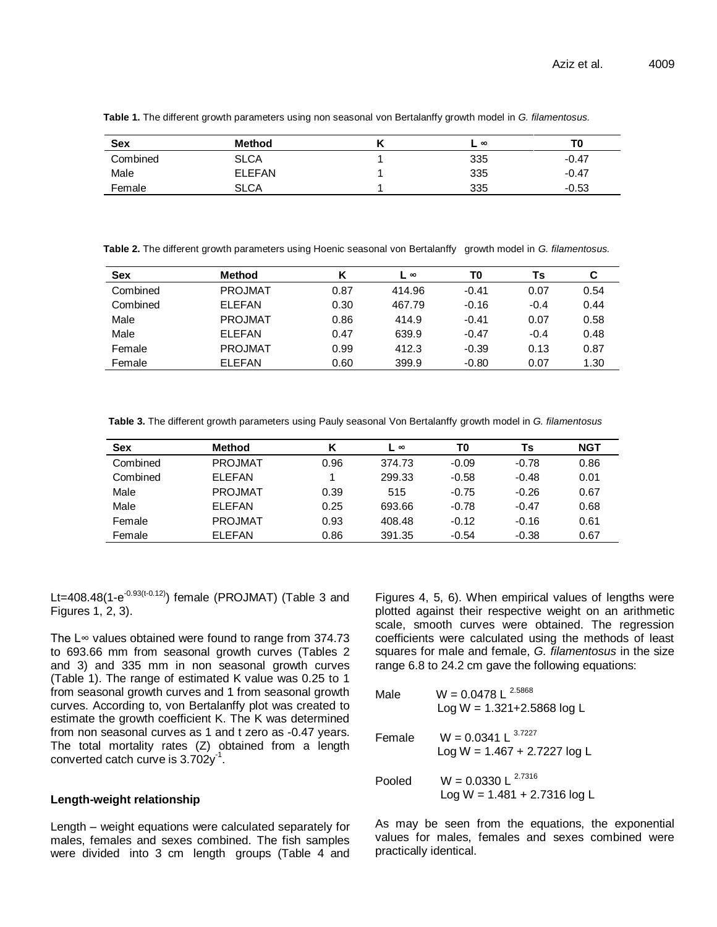| <b>Sex</b> | <b>Method</b> | $\infty$ | ΤO      |
|------------|---------------|----------|---------|
| Combined   | <b>SLCA</b>   | 335      | -0.47   |
| Male       | <b>ELEFAN</b> | 335      | $-0.47$ |
| Female     | <b>SLCA</b>   | 335      | $-0.53$ |

**Table 1.** The different growth parameters using non seasonal von Bertalanffy growth model in *G. filamentosus.*

**Table 2.** The different growth parameters using Hoenic seasonal von Bertalanffy growth model in *G. filamentosus.*

| <b>Sex</b> | Method         |      | $\infty$ | T0      | Ts     | C    |
|------------|----------------|------|----------|---------|--------|------|
| Combined   | <b>PROJMAT</b> | 0.87 | 414.96   | $-0.41$ | 0.07   | 0.54 |
| Combined   | <b>FLEEAN</b>  | 0.30 | 467.79   | $-0.16$ | $-0.4$ | 0.44 |
| Male       | <b>PROJMAT</b> | 0.86 | 414.9    | $-0.41$ | 0.07   | 0.58 |
| Male       | <b>ELEFAN</b>  | 0.47 | 639.9    | $-0.47$ | $-0.4$ | 0.48 |
| Female     | <b>PROJMAT</b> | 0.99 | 412.3    | $-0.39$ | 0.13   | 0.87 |
| Female     | <b>ELEFAN</b>  | 0.60 | 399.9    | $-0.80$ | 0.07   | 1.30 |

**Table 3.** The different growth parameters using Pauly seasonal Von Bertalanffy growth model in *G. filamentosus*

| <b>Sex</b> | <b>Method</b>  | К    | $\infty$ | T0      | Ts      | <b>NGT</b> |
|------------|----------------|------|----------|---------|---------|------------|
| Combined   | <b>PROJMAT</b> | 0.96 | 374.73   | $-0.09$ | $-0.78$ | 0.86       |
| Combined   | <b>FLEEAN</b>  |      | 299.33   | $-0.58$ | $-0.48$ | 0.01       |
| Male       | <b>PROJMAT</b> | 0.39 | 515      | $-0.75$ | $-0.26$ | 0.67       |
| Male       | <b>FLEEAN</b>  | 0.25 | 693.66   | $-0.78$ | $-0.47$ | 0.68       |
| Female     | <b>PROJMAT</b> | 0.93 | 408.48   | $-0.12$ | $-0.16$ | 0.61       |
| Female     | <b>FLEEAN</b>  | 0.86 | 391.35   | $-0.54$ | $-0.38$ | 0.67       |

Lt=408.48(1-e<sup>-0.93(t-0.12)</sup>) female (PROJMAT) (Table 3 and Figures 1, 2, 3).

The L∞ values obtained were found to range from 374.73 to 693.66 mm from seasonal growth curves (Tables 2 and 3) and 335 mm in non seasonal growth curves (Table 1). The range of estimated K value was 0.25 to 1 from seasonal growth curves and 1 from seasonal growth curves. According to, von Bertalanffy plot was created to estimate the growth coefficient K. The K was determined from non seasonal curves as 1 and t zero as -0.47 years. The total mortality rates (Z) obtained from a length converted catch curve is  $3.702y^{-1}$ .

## **Length-weight relationship**

Length – weight equations were calculated separately for males, females and sexes combined. The fish samples were divided into 3 cm length groups (Table 4 and Figures 4, 5, 6). When empirical values of lengths were plotted against their respective weight on an arithmetic scale, smooth curves were obtained. The regression coefficients were calculated using the methods of least squares for male and female, *G. filamentosus* in the size range 6.8 to 24.2 cm gave the following equations:

| Male   | $W = 0.0478 L$<br>2.5868<br>Log W = $1.321 + 2.5868$ log L |
|--------|------------------------------------------------------------|
| Female | 3.7227<br>$W = 0.0341 L$<br>$Log W = 1.467 + 2.7227 log L$ |
| Pooled | $W = 0.0330 L^{2.7316}$<br>$Log W = 1.481 + 2.7316 log L$  |

As may be seen from the equations, the exponential values for males, females and sexes combined were practically identical.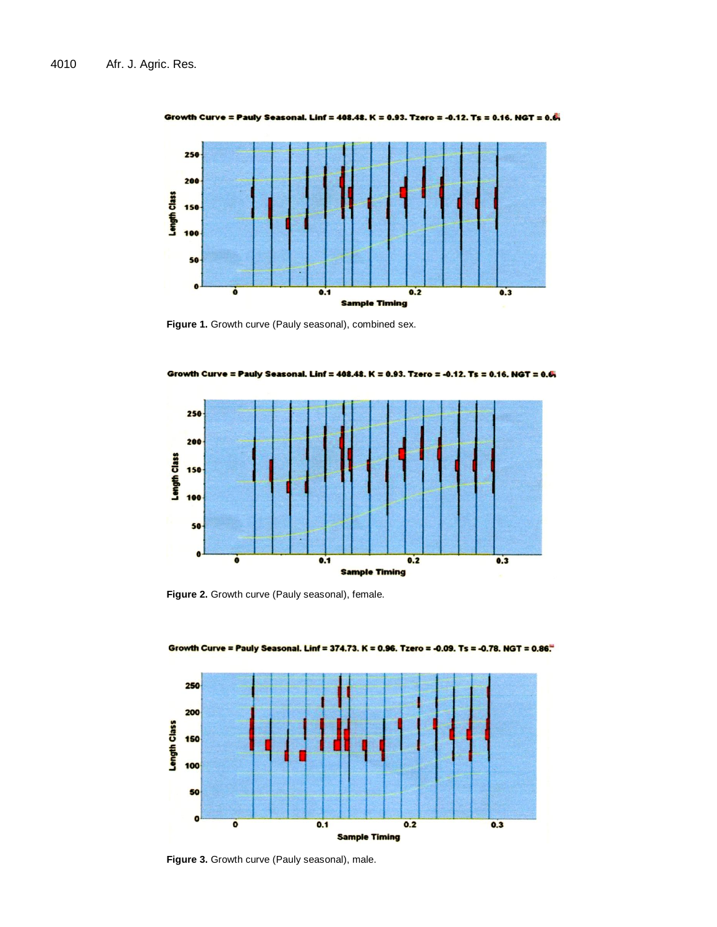

Growth Curve = Pauly Seasonal. Linf = 408.48. K = 0.93. Tzero = -0.12. Ts = 0.16. NGT = 0.6.

**Figure 1.** Growth curve (Pauly seasonal), combined sex.



Growth Curve = Pauly Seasonal. Linf = 408.48. K = 0.93. Tzero = -0.12. Ts = 0.16. NGT = 0.6

**Figure 2.** Growth curve (Pauly seasonal), female.



Growth Curve = Pauly Seasonal. Linf = 374.73. K = 0.96. Tzero = -0.09. Ts = -0.78. NGT = 0.86.

**Figure 3.** Growth curve (Pauly seasonal), male.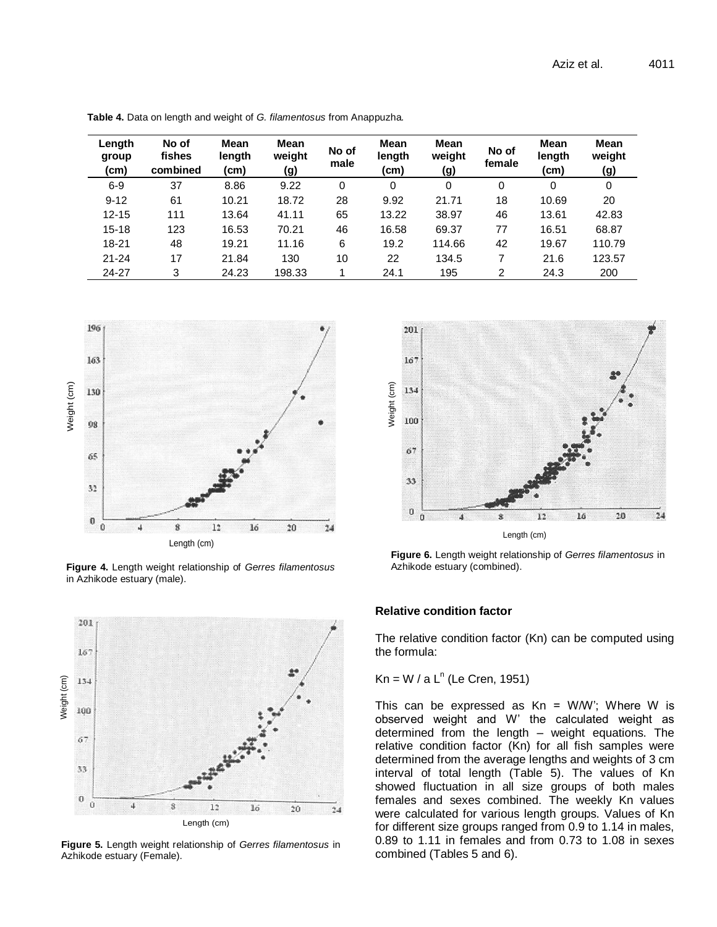| Length<br>group<br>(cm) | No of<br>fishes<br>combined | Mean<br>length<br>(cm) | Mean<br>weight<br>(g) | No of<br>male | Mean<br>length<br>(cm) | <b>Mean</b><br>weight<br>(g) | No of<br>female | <b>Mean</b><br>length<br>(cm) | Mean<br>weight<br>(g) |
|-------------------------|-----------------------------|------------------------|-----------------------|---------------|------------------------|------------------------------|-----------------|-------------------------------|-----------------------|
| $6 - 9$                 | 37                          | 8.86                   | 9.22                  | 0             | 0                      | $\Omega$                     | 0               | 0                             | 0                     |
| $9 - 12$                | 61                          | 10.21                  | 18.72                 | 28            | 9.92                   | 21.71                        | 18              | 10.69                         | 20                    |
| $12 - 15$               | 111                         | 13.64                  | 41.11                 | 65            | 13.22                  | 38.97                        | 46              | 13.61                         | 42.83                 |
| 15-18                   | 123                         | 16.53                  | 70.21                 | 46            | 16.58                  | 69.37                        | 77              | 16.51                         | 68.87                 |
| 18-21                   | 48                          | 19.21                  | 11.16                 | 6             | 19.2                   | 114.66                       | 42              | 19.67                         | 110.79                |
| $21 - 24$               | 17                          | 21.84                  | 130                   | 10            | 22                     | 134.5                        | 7               | 21.6                          | 123.57                |
| 24-27                   | 3                           | 24.23                  | 198.33                |               | 24.1                   | 195                          | 2               | 24.3                          | 200                   |

**Table 4.** Data on length and weight of *G. filamentosus* from Anappuzha.



**Figure 4.** Length weight relationship of *Gerres filamentosus* in Azhikode estuary (male).



**Figure 6.** Length weight relationship of *Gerres filamentosus* in Azhikode estuary (combined).



The relative condition factor (Kn) can be computed using the formula:

 $Kn = W / a L<sup>n</sup>$  (Le Cren, 1951)

This can be expressed as  $Kn = W/W'$ ; Where W is observed weight and W' the calculated weight as determined from the length – weight equations. The relative condition factor (Kn) for all fish samples were determined from the average lengths and weights of 3 cm interval of total length (Table 5). The values of Kn showed fluctuation in all size groups of both males females and sexes combined. The weekly Kn values were calculated for various length groups. Values of Kn for different size groups ranged from 0.9 to 1.14 in males, 0.89 to 1.11 in females and from 0.73 to 1.08 in sexes combined (Tables 5 and 6).



**Figure 5.** Length weight relationship of *Gerres filamentosus* in Azhikode estuary (Female).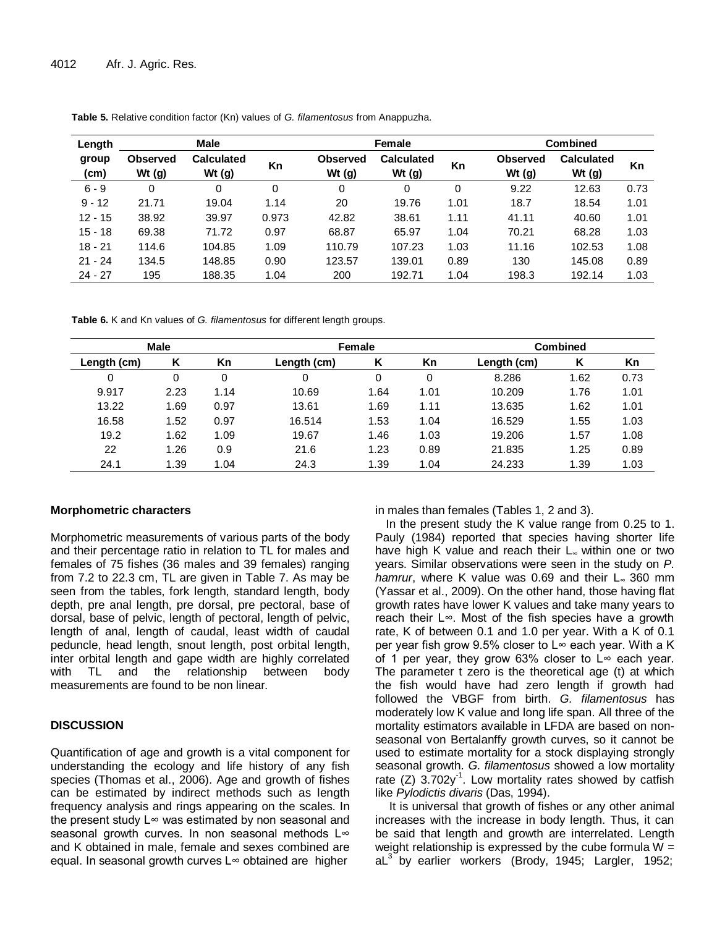| <b>Male</b><br>Length |                             |                               | Female |                             |                               |      | <b>Combined</b>             |                               |      |
|-----------------------|-----------------------------|-------------------------------|--------|-----------------------------|-------------------------------|------|-----------------------------|-------------------------------|------|
| group<br>(cm)         | <b>Observed</b><br>Wt $(g)$ | <b>Calculated</b><br>Wt $(g)$ | Kn     | <b>Observed</b><br>Wt $(g)$ | <b>Calculated</b><br>Wt $(g)$ | Kn   | <b>Observed</b><br>Wt $(g)$ | <b>Calculated</b><br>Wt $(g)$ | Kn   |
| $6 - 9$               | 0                           | 0                             | 0      | 0                           | 0                             | 0    | 9.22                        | 12.63                         | 0.73 |
| $9 - 12$              | 21.71                       | 19.04                         | 1.14   | 20                          | 19.76                         | 1.01 | 18.7                        | 18.54                         | 1.01 |
| $12 - 15$             | 38.92                       | 39.97                         | 0.973  | 42.82                       | 38.61                         | 1.11 | 41.11                       | 40.60                         | 1.01 |
| $15 - 18$             | 69.38                       | 71.72                         | 0.97   | 68.87                       | 65.97                         | 1.04 | 70.21                       | 68.28                         | 1.03 |
| $18 - 21$             | 114.6                       | 104.85                        | 1.09   | 110.79                      | 107.23                        | 1.03 | 11.16                       | 102.53                        | 1.08 |
| $21 - 24$             | 134.5                       | 148.85                        | 0.90   | 123.57                      | 139.01                        | 0.89 | 130                         | 145.08                        | 0.89 |
| $24 - 27$             | 195                         | 188.35                        | 1.04   | 200                         | 192.71                        | 1.04 | 198.3                       | 192.14                        | 1.03 |

**Table 5.** Relative condition factor (Kn) values of *G. filamentosus* from Anappuzha.

**Table 6.** K and Kn values of *G. filamentosus* for different length groups.

|             | <b>Male</b> |      | Female      |      |      | <b>Combined</b> |      |      |
|-------------|-------------|------|-------------|------|------|-----------------|------|------|
| Length (cm) |             | Kn   | Length (cm) | Κ    | Кn   | Length (cm)     | Κ    | Кn   |
| 0           | 0           | 0    | 0           |      |      | 8.286           | 1.62 | 0.73 |
| 9.917       | 2.23        | 1.14 | 10.69       | 1.64 | 1.01 | 10.209          | 1.76 | 1.01 |
| 13.22       | 1.69        | 0.97 | 13.61       | 1.69 | 1.11 | 13.635          | 1.62 | 1.01 |
| 16.58       | 1.52        | 0.97 | 16.514      | 1.53 | 1.04 | 16.529          | 1.55 | 1.03 |
| 19.2        | 1.62        | 1.09 | 19.67       | 1.46 | 1.03 | 19.206          | 1.57 | 1.08 |
| 22          | 1.26        | 0.9  | 21.6        | 1.23 | 0.89 | 21.835          | 1.25 | 0.89 |
| 24.1        | 1.39        | 1.04 | 24.3        | 1.39 | 1.04 | 24.233          | 1.39 | 1.03 |

#### **Morphometric characters**

Morphometric measurements of various parts of the body and their percentage ratio in relation to TL for males and females of 75 fishes (36 males and 39 females) ranging from 7.2 to 22.3 cm, TL are given in Table 7. As may be seen from the tables, fork length, standard length, body depth, pre anal length, pre dorsal, pre pectoral, base of dorsal, base of pelvic, length of pectoral, length of pelvic, length of anal, length of caudal, least width of caudal peduncle, head length, snout length, post orbital length, inter orbital length and gape width are highly correlated with TL and the relationship between body measurements are found to be non linear.

## **DISCUSSION**

Quantification of age and growth is a vital component for understanding the ecology and life history of any fish species (Thomas et al., 2006). Age and growth of fishes can be estimated by indirect methods such as length frequency analysis and rings appearing on the scales. In the present study L∞ was estimated by non seasonal and seasonal growth curves. In non seasonal methods L∞ and K obtained in male, female and sexes combined are equal. In seasonal growth curves L∞ obtained are higher

in males than females (Tables 1, 2 and 3).

In the present study the K value range from 0.25 to 1. Pauly (1984) reported that species having shorter life have high K value and reach their L∞ within one or two years. Similar observations were seen in the study on *P. hamrur*, where K value was 0.69 and their L∞ 360 mm (Yassar et al., 2009). On the other hand, those having flat growth rates have lower K values and take many years to reach their L∞. Most of the fish species have a growth rate, K of between 0.1 and 1.0 per year. With a K of 0.1 per year fish grow 9.5% closer to  $L<sup>\infty</sup>$  each year. With a K of 1 per year, they grow 63% closer to  $L<sup>∞</sup>$  each year. The parameter t zero is the theoretical age (t) at which the fish would have had zero length if growth had followed the VBGF from birth. *G. filamentosus* has moderately low K value and long life span. All three of the mortality estimators available in LFDA are based on nonseasonal von Bertalanffy growth curves, so it cannot be used to estimate mortality for a stock displaying strongly seasonal growth. *G. filamentosus* showed a low mortality rate  $(Z)$  3.702y<sup>-1</sup>. Low mortality rates showed by catfish like *Pylodictis divaris* (Das, 1994).

It is universal that growth of fishes or any other animal increases with the increase in body length. Thus, it can be said that length and growth are interrelated. Length weight relationship is expressed by the cube formula  $W =$  $aL<sup>3</sup>$  by earlier workers (Brody, 1945; Largler, 1952;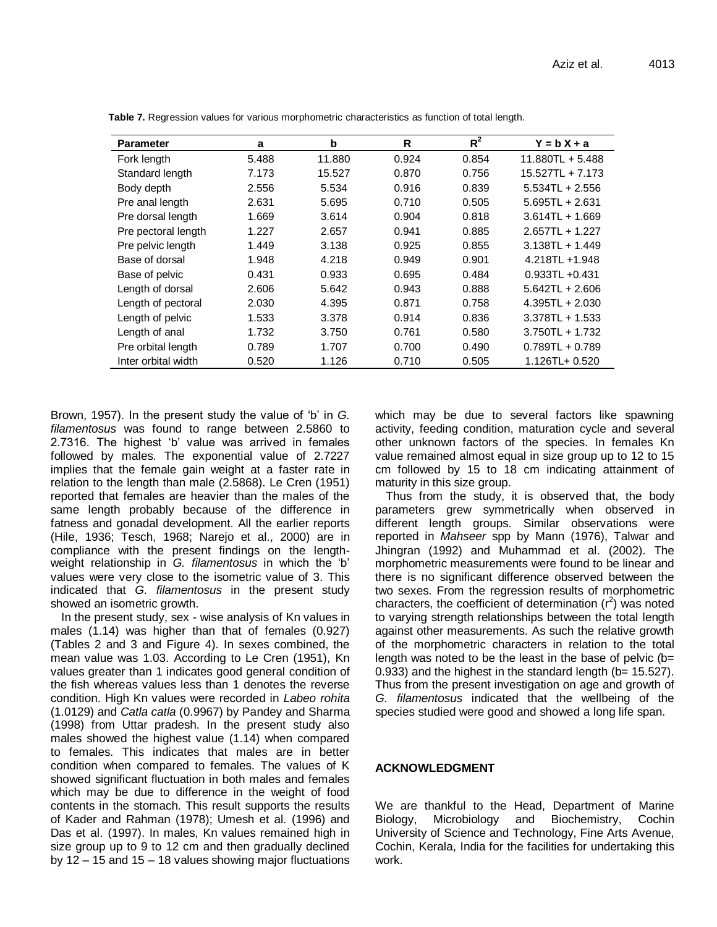| <b>Parameter</b>    | a     | b      | R     | $R^2$ | $Y = bX + a$      |
|---------------------|-------|--------|-------|-------|-------------------|
| Fork length         | 5.488 | 11.880 | 0.924 | 0.854 | 11.880TL + 5.488  |
| Standard length     | 7.173 | 15.527 | 0.870 | 0.756 | 15.527TL + 7.173  |
| Body depth          | 2.556 | 5.534  | 0.916 | 0.839 | $5.534TL + 2.556$ |
| Pre anal length     | 2.631 | 5.695  | 0.710 | 0.505 | $5.695TL + 2.631$ |
| Pre dorsal length   | 1.669 | 3.614  | 0.904 | 0.818 | $3.614TL + 1.669$ |
| Pre pectoral length | 1.227 | 2.657  | 0.941 | 0.885 | $2.657TL + 1.227$ |
| Pre pelvic length   | 1.449 | 3.138  | 0.925 | 0.855 | $3.138TL + 1.449$ |
| Base of dorsal      | 1.948 | 4.218  | 0.949 | 0.901 | $4.218TL + 1.948$ |
| Base of pelvic      | 0.431 | 0.933  | 0.695 | 0.484 | $0.933TL + 0.431$ |
| Length of dorsal    | 2.606 | 5.642  | 0.943 | 0.888 | $5.642TL + 2.606$ |
| Length of pectoral  | 2.030 | 4.395  | 0.871 | 0.758 | $4.395TL + 2.030$ |
| Length of pelvic    | 1.533 | 3.378  | 0.914 | 0.836 | $3.378TL + 1.533$ |
| Length of anal      | 1.732 | 3.750  | 0.761 | 0.580 | $3.750TL + 1.732$ |
| Pre orbital length  | 0.789 | 1.707  | 0.700 | 0.490 | $0.789TL + 0.789$ |
| Inter orbital width | 0.520 | 1.126  | 0.710 | 0.505 | 1.126TL+ 0.520    |

**Table 7.** Regression values for various morphometric characteristics as function of total length.

Brown, 1957). In the present study the value of 'b' in *G. filamentosus* was found to range between 2.5860 to 2.7316. The highest 'b' value was arrived in females followed by males. The exponential value of 2.7227 implies that the female gain weight at a faster rate in relation to the length than male (2.5868). Le Cren (1951) reported that females are heavier than the males of the same length probably because of the difference in fatness and gonadal development. All the earlier reports (Hile, 1936; Tesch, 1968; Narejo et al., 2000) are in compliance with the present findings on the lengthweight relationship in *G. filamentosus* in which the 'b' values were very close to the isometric value of 3. This indicated that *G. filamentosus* in the present study showed an isometric growth.

In the present study, sex - wise analysis of Kn values in males (1.14) was higher than that of females (0.927) (Tables 2 and 3 and Figure 4). In sexes combined, the mean value was 1.03. According to Le Cren (1951), Kn values greater than 1 indicates good general condition of the fish whereas values less than 1 denotes the reverse condition. High Kn values were recorded in *Labeo rohita*  (1.0129) and *Catla catla* (0.9967) by Pandey and Sharma (1998) from Uttar pradesh. In the present study also males showed the highest value (1.14) when compared to females. This indicates that males are in better condition when compared to females. The values of K showed significant fluctuation in both males and females which may be due to difference in the weight of food contents in the stomach. This result supports the results of Kader and Rahman (1978); Umesh et al. (1996) and Das et al. (1997). In males, Kn values remained high in size group up to 9 to 12 cm and then gradually declined by 12 – 15 and 15 – 18 values showing major fluctuations which may be due to several factors like spawning activity, feeding condition, maturation cycle and several other unknown factors of the species. In females Kn value remained almost equal in size group up to 12 to 15 cm followed by 15 to 18 cm indicating attainment of maturity in this size group.

Thus from the study, it is observed that, the body parameters grew symmetrically when observed in different length groups. Similar observations were reported in *Mahseer* spp by Mann (1976), Talwar and Jhingran (1992) and Muhammad et al. (2002). The morphometric measurements were found to be linear and there is no significant difference observed between the two sexes. From the regression results of morphometric characters, the coefficient of determination  $(r^2)$  was noted to varying strength relationships between the total length against other measurements. As such the relative growth of the morphometric characters in relation to the total length was noted to be the least in the base of pelvic  $(b=$  $0.933$ ) and the highest in the standard length ( $b= 15.527$ ). Thus from the present investigation on age and growth of *G. filamentosus* indicated that the wellbeing of the species studied were good and showed a long life span.

#### **ACKNOWLEDGMENT**

We are thankful to the Head, Department of Marine Biology, Microbiology and Biochemistry, Cochin University of Science and Technology, Fine Arts Avenue, Cochin, Kerala, India for the facilities for undertaking this work.